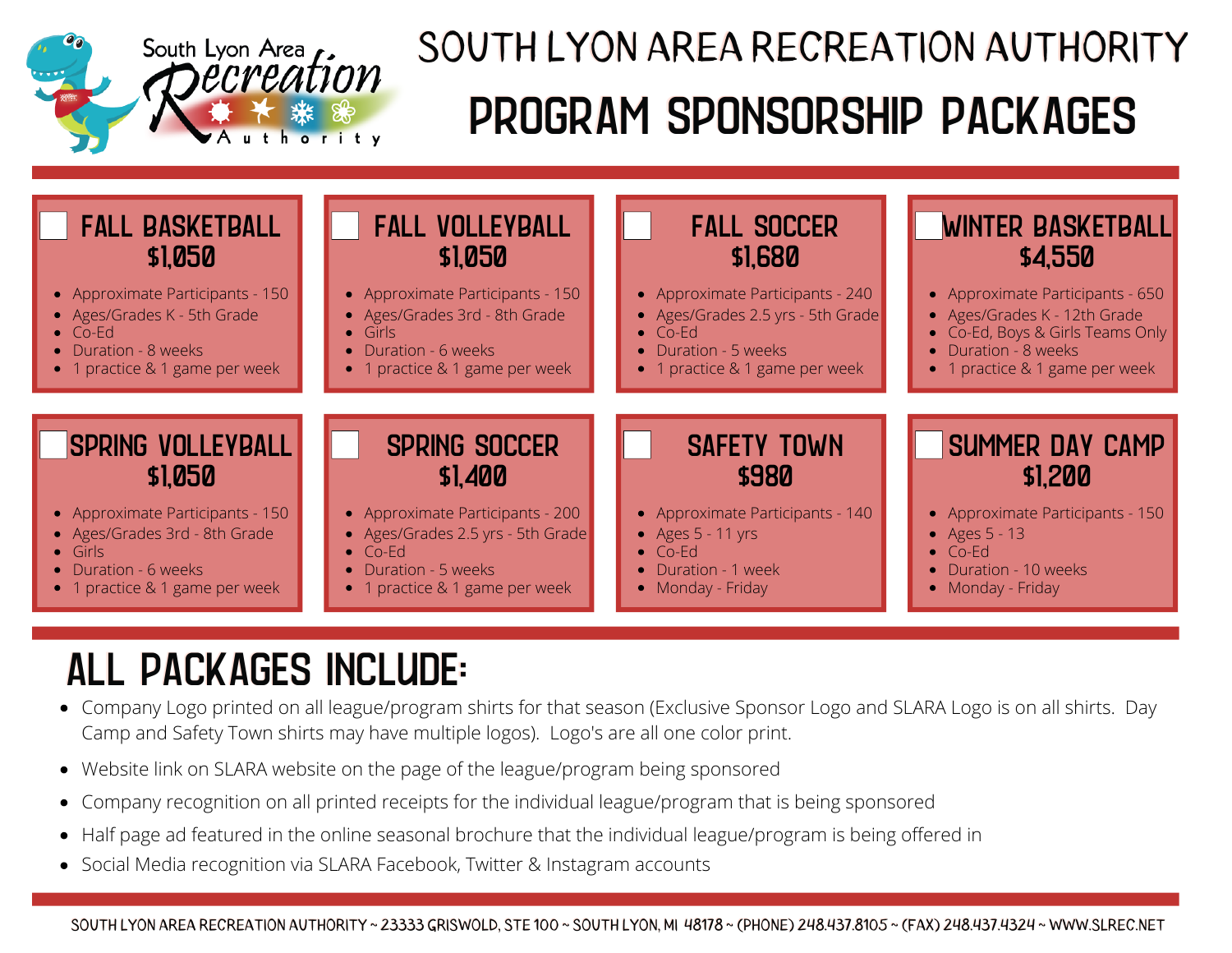

## PROGRAM SPONSORSHIP PACKAGES SOUTH LYON AREA RECREATION AUTHORITY



## ALL PACKAGES INCLUDE:

- Company Logo printed on all league/program shirts for that season (Exclusive Sponsor Logo and SLARA Logo is on all shirts. Day Camp and Safety Town shirts may have multiple logos). Logo's are all one color print.
- Website link on SLARA website on the page of the league/program being sponsored
- Company recognition on all printed receipts for the individual league/program that is being sponsored  $\bullet$
- Half page ad featured in the online seasonal brochure that the individual league/program is being offered in  $\bullet$
- Social Media recognition via SLARA Facebook, Twitter & Instagram accounts

SOUTH LYON AREA RECREATION AUTHORITY ~ 23333 GRISWOLD, STE 100 ~ SOUTH LYON, MI 48178 ~ (PHONE) 248.437.8105 ~ (FAX) 248.437.4324 ~ WWW.SLREC.NET